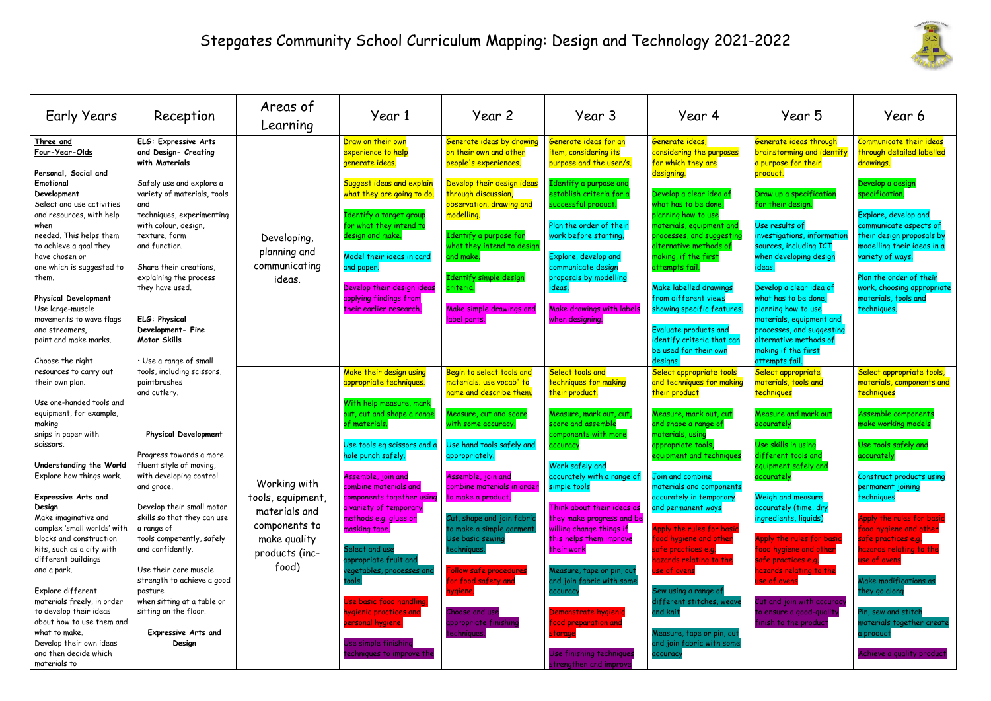## Stepgates Community School Curriculum Mapping: Design and Technology 2021-2022

| <b>Early Years</b>                                                                                                                                                                                                                                        | Reception                                                                                                                                                                                                                    | Areas of<br>Learning                                                                                  | Year 1                                                                                                                                                                                                                                                          | Year 2                                                                                                                                                                                                                              | Year 3                                                                                                                                                                                                                                       | Year 4                                                                                                                                                                                                                                                                                            | Year 5                                                                                                                                                                                                                               | Year 6                                                                                                                                                                                                                                                             |
|-----------------------------------------------------------------------------------------------------------------------------------------------------------------------------------------------------------------------------------------------------------|------------------------------------------------------------------------------------------------------------------------------------------------------------------------------------------------------------------------------|-------------------------------------------------------------------------------------------------------|-----------------------------------------------------------------------------------------------------------------------------------------------------------------------------------------------------------------------------------------------------------------|-------------------------------------------------------------------------------------------------------------------------------------------------------------------------------------------------------------------------------------|----------------------------------------------------------------------------------------------------------------------------------------------------------------------------------------------------------------------------------------------|---------------------------------------------------------------------------------------------------------------------------------------------------------------------------------------------------------------------------------------------------------------------------------------------------|--------------------------------------------------------------------------------------------------------------------------------------------------------------------------------------------------------------------------------------|--------------------------------------------------------------------------------------------------------------------------------------------------------------------------------------------------------------------------------------------------------------------|
| Three and<br>Four-Year-Olds<br>Personal, Social and                                                                                                                                                                                                       | ELG: Expressive Arts<br>and Design- Creating<br>with Materials                                                                                                                                                               |                                                                                                       | Draw on their own<br>experience to help<br>generate ideas.                                                                                                                                                                                                      | Generate ideas by drawing<br>on their own and other<br>people's experiences.                                                                                                                                                        | Generate ideas for an<br>item, considering its<br>purpose and the user/s.                                                                                                                                                                    | Generate ideas,<br>considering the purposes<br>for which they are<br>designing.                                                                                                                                                                                                                   | Generate ideas through<br>brainstorming and identify<br>a purpose for their<br>product.                                                                                                                                              | Communicate their ideas<br>through detailed labelled<br>drawings.                                                                                                                                                                                                  |
| Emotional<br>Development<br>Select and use activities<br>and resources, with help<br>when<br>needed. This helps them<br>to achieve a goal they<br>have chosen or<br>one which is suggested to<br>them.<br><b>Physical Development</b><br>Use large-muscle | Safely use and explore a<br>variety of materials, tools<br>and<br>techniques, experimenting<br>with colour, design,<br>texture, form<br>and function.<br>Share their creations,<br>explaining the process<br>they have used. | Developing,<br>planning and<br>communicating<br>ideas.                                                | Suggest ideas and explain<br>what they are going to do.<br>Identify a target group<br>for what they intend to<br>design and make.<br>Model their ideas in card<br>and paper.<br>Develop their design ideas<br>applying findings from<br>their earlier research. | Develop their design ideas<br>through discussion,<br>observation, drawing and<br>modelling.<br>Identify a purpose for<br>what they intend to design<br>and make.<br>Identify simple design<br>criteria.<br>Make simple drawings and | Identify a purpose and<br>establish criteria for a<br>successful product.<br>Plan the order of their<br>work before starting.<br>Explore, develop and<br>communicate design<br>proposals by modelling<br>ideas.<br>Make drawings with labels | Develop a clear idea of<br>what has to be done,<br>olanning how to use<br><mark>naterials, equipment an</mark> c<br>processes, and suggesting<br>alternative methods of<br>naking, if the first<br>attempts fail.<br>Make labelled drawings<br>from different views<br>showing specific features. | Draw up a specification<br>for their design<br>Use results of<br>investigations, informatior<br>sources, including ICT<br>when developing design<br>ideas.<br>Develop a clear idea of<br>what has to be done,<br>planning how to use | Develop a design<br>specification<br>Explore, develop and<br>communicate aspects of<br>their design proposals by<br>modelling their ideas in a<br>variety of ways.<br>Plan the order of their<br>work, choosing appropriate<br>materials, tools and<br>techniques. |
| movements to wave flags<br>and streamers,<br>paint and make marks.<br>Choose the right                                                                                                                                                                    | ELG: Physical<br>Development-Fine<br>Motor Skills<br>· Use a range of small                                                                                                                                                  |                                                                                                       |                                                                                                                                                                                                                                                                 | label parts.                                                                                                                                                                                                                        | when designing.                                                                                                                                                                                                                              | Evaluate products and<br>identify criteria that can<br>be used for their own<br>designs.                                                                                                                                                                                                          | materials, equipment and<br>processes, and suggesting<br>alternative methods of<br>making if the first<br>attempts fail.                                                                                                             |                                                                                                                                                                                                                                                                    |
| resources to carry out<br>their own plan.<br>Use one-handed tools and                                                                                                                                                                                     | tools, including scissors,<br>paintbrushes<br>and cutlery.                                                                                                                                                                   |                                                                                                       | Make their design using<br>appropriate techniques.                                                                                                                                                                                                              | Begin to select tools and<br>materials; use vocab' to<br>name and describe them.                                                                                                                                                    | Select tools and<br>techniques for making<br>their product.                                                                                                                                                                                  | Select appropriate tools<br>and techniques for making<br>their product                                                                                                                                                                                                                            | Select appropriate<br>materials, tools and<br>techniques                                                                                                                                                                             | Select appropriate tools,<br>materials, components and<br><b>techniques</b>                                                                                                                                                                                        |
| equipment, for example,<br>making<br>snips in paper with<br>scissors.                                                                                                                                                                                     | <b>Physical Development</b><br>Progress towards a more                                                                                                                                                                       |                                                                                                       | With help measure, mark<br>out, cut and shape a range<br>of materials.<br>Use tools eg scissors and a                                                                                                                                                           | Measure, cut and score<br>with some accuracy.<br>Use hand tools safely and                                                                                                                                                          | Measure, mark out, cut,<br>score and assemble<br>components with more<br>accuracy                                                                                                                                                            | Measure, mark out, cut<br>and shape a range of<br>materials, using<br>ppropriate tools,                                                                                                                                                                                                           | Measure and mark out<br>accurately<br>Use skills in using<br>different tools and                                                                                                                                                     | Assemble components<br>make working models<br>Use tools safely and                                                                                                                                                                                                 |
| Understanding the World<br>Explore how things work.<br><b>Expressive Arts and</b><br>Design<br>Make imaginative and<br>complex 'small worlds' with<br>blocks and construction<br>kits, such as a city with                                                | fluent style of moving,<br>with developing control<br>and grace.<br>Develop their small motor<br>skills so that they can use<br>a range of<br>tools competently, safely<br>and confidently.                                  | Working with<br>tools, equipment,<br>materials and<br>components to<br>make quality<br>products (inc- | hole punch safely.<br>Assemble, join and<br>combine materials and<br>components together using<br>a variety of temporary<br>methods e.g. glues or<br>masking tape.<br>Select and use                                                                            | appropriately.<br>Assemble, join and<br>combine materials in order<br>to make a product.<br>Cut, shape and join fabrid<br>to make a simple garment.<br>Use basic sewind<br>techniques                                               | Work safely and<br>accurately with a range of<br>simple tools<br>Think about their ideas as<br>they make progress and be<br>willing change things if<br>this helps them improve<br>their work                                                | equipment and technique:<br>Join and combine<br>materials and components<br>accurately in temporary<br>and permanent ways<br>Apply the rules for basic<br>food hygiene and other<br>safe practices e.g.                                                                                           | equipment safely and<br>accurately<br>Weigh and measure<br>accurately (time, dry<br>ingredients, liquids)<br>Apply the rules for basid<br>food hygiene and other                                                                     | accurately<br>Construct products using<br>permanent joining<br>techniques<br>Apply the rules for basic<br>food hygiene and other<br>safe practices e.g.<br>hazards relating to the                                                                                 |
| different buildings<br>and a park.<br>Explore different<br>materials freely, in order<br>to develop their ideas<br>about how to use them and<br>what to make.<br>Develop their own ideas<br>and then decide which<br>materials to                         | Use their core muscle<br>strength to achieve a good<br>posture<br>when sitting at a table or<br>sitting on the floor.<br><b>Expressive Arts and</b><br>Design                                                                | food)                                                                                                 | appropriate fruit and<br>vegetables, processes and<br>Use basic food handling,<br>hygienic practices and<br>personal hygiene.<br>Use simple finishing<br>techniques to improve the                                                                              | <b>Follow safe procedures</b><br>for food safety and<br>hygiene.<br>Choose and use<br>appropriate finishing<br>techniques.                                                                                                          | Measure, tape or pin, cut<br>and join fabric with some<br>accuracy<br>Demonstrate hygienic<br>food preparation and<br>storage<br>Use finishing techniques<br>strengthen and improve                                                          | hazards relating to the<br>use of ovens<br>Sew using a range of<br>different stitches, weav<br>and knit<br>Measure, tape or pin, cu <mark>t</mark><br>and join fabric with some<br>accuracy                                                                                                       | safe practices e.g.<br>hazards relating to the<br>use of ovens<br>Cut and join with accuracy<br>to ensure a good-quality<br>finish to the product                                                                                    | use of ovens<br>Make modifications as<br>they go along<br>Pin, sew and stitch<br>materials together create<br>a product<br>Achieve a quality product                                                                                                               |